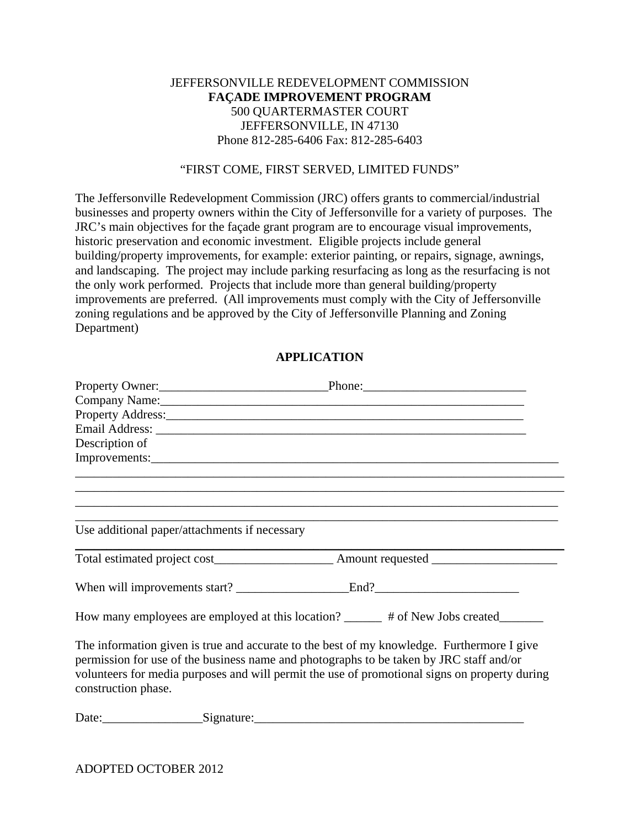## JEFFERSONVILLE REDEVELOPMENT COMMISSION **FAÇADE IMPROVEMENT PROGRAM**  500 QUARTERMASTER COURT JEFFERSONVILLE, IN 47130 Phone 812-285-6406 Fax: 812-285-6403

### "FIRST COME, FIRST SERVED, LIMITED FUNDS"

The Jeffersonville Redevelopment Commission (JRC) offers grants to commercial/industrial businesses and property owners within the City of Jeffersonville for a variety of purposes. The JRC's main objectives for the façade grant program are to encourage visual improvements, historic preservation and economic investment. Eligible projects include general building/property improvements, for example: exterior painting, or repairs, signage, awnings, and landscaping. The project may include parking resurfacing as long as the resurfacing is not the only work performed. Projects that include more than general building/property improvements are preferred. (All improvements must comply with the City of Jeffersonville zoning regulations and be approved by the City of Jeffersonville Planning and Zoning Department)

# **APPLICATION**

| Property Owner: 2008 Phone: Phone: 2008 Phone: 2008 Phone: 2008 Phone: 2008 Phone: 2008 Phone: 2008 Phone: 2008 Phone: 2008 Phone: 2008 Phone: 2008 Phone: 2008 Phone: 2008 Phone: 2008 Phone: 2008 Phone: 2008 Phone: 2008 Ph                                                                                |  |  |
|---------------------------------------------------------------------------------------------------------------------------------------------------------------------------------------------------------------------------------------------------------------------------------------------------------------|--|--|
| Company Name: 2008. [2010] The Company Name: 2010. [2010] The Company Name: 2010. [2010] The Company Office of the Company Office of the Company Office of the Company Office of the Company Office of the Company Office of t                                                                                |  |  |
|                                                                                                                                                                                                                                                                                                               |  |  |
|                                                                                                                                                                                                                                                                                                               |  |  |
| Description of                                                                                                                                                                                                                                                                                                |  |  |
|                                                                                                                                                                                                                                                                                                               |  |  |
|                                                                                                                                                                                                                                                                                                               |  |  |
|                                                                                                                                                                                                                                                                                                               |  |  |
| Use additional paper/attachments if necessary                                                                                                                                                                                                                                                                 |  |  |
|                                                                                                                                                                                                                                                                                                               |  |  |
|                                                                                                                                                                                                                                                                                                               |  |  |
| How many employees are employed at this location? ______ # of New Jobs created_______                                                                                                                                                                                                                         |  |  |
| The information given is true and accurate to the best of my knowledge. Furthermore I give<br>permission for use of the business name and photographs to be taken by JRC staff and/or<br>volunteers for media purposes and will permit the use of promotional signs on property during<br>construction phase. |  |  |

Date:\_\_\_\_\_\_\_\_\_\_\_\_\_\_\_\_Signature:\_\_\_\_\_\_\_\_\_\_\_\_\_\_\_\_\_\_\_\_\_\_\_\_\_\_\_\_\_\_\_\_\_\_\_\_\_\_\_\_\_\_\_

ADOPTED OCTOBER 2012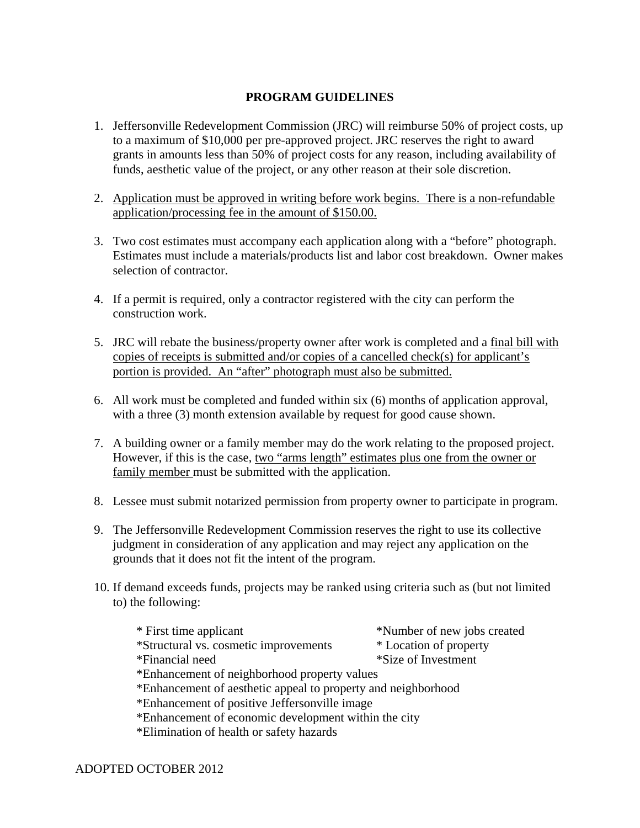# **PROGRAM GUIDELINES**

- 1. Jeffersonville Redevelopment Commission (JRC) will reimburse 50% of project costs, up to a maximum of \$10,000 per pre-approved project. JRC reserves the right to award grants in amounts less than 50% of project costs for any reason, including availability of funds, aesthetic value of the project, or any other reason at their sole discretion.
- 2. Application must be approved in writing before work begins. There is a non-refundable application/processing fee in the amount of \$150.00.
- 3. Two cost estimates must accompany each application along with a "before" photograph. Estimates must include a materials/products list and labor cost breakdown. Owner makes selection of contractor.
- 4. If a permit is required, only a contractor registered with the city can perform the construction work.
- 5. JRC will rebate the business/property owner after work is completed and a final bill with copies of receipts is submitted and/or copies of a cancelled check(s) for applicant's portion is provided. An "after" photograph must also be submitted.
- 6. All work must be completed and funded within six (6) months of application approval, with a three (3) month extension available by request for good cause shown.
- 7. A building owner or a family member may do the work relating to the proposed project. However, if this is the case, two "arms length" estimates plus one from the owner or family member must be submitted with the application.
- 8. Lessee must submit notarized permission from property owner to participate in program.
- 9. The Jeffersonville Redevelopment Commission reserves the right to use its collective judgment in consideration of any application and may reject any application on the grounds that it does not fit the intent of the program.
- 10. If demand exceeds funds, projects may be ranked using criteria such as (but not limited to) the following:

| * First time applicant                                        | *Number of new jobs created |
|---------------------------------------------------------------|-----------------------------|
| *Structural vs. cosmetic improvements                         | * Location of property      |
| *Financial need                                               | *Size of Investment         |
| *Enhancement of neighborhood property values                  |                             |
| *Enhancement of aesthetic appeal to property and neighborhood |                             |
| *Enhancement of positive Jeffersonville image                 |                             |
| *Enhancement of economic development within the city          |                             |
| *Elimination of health or safety hazards                      |                             |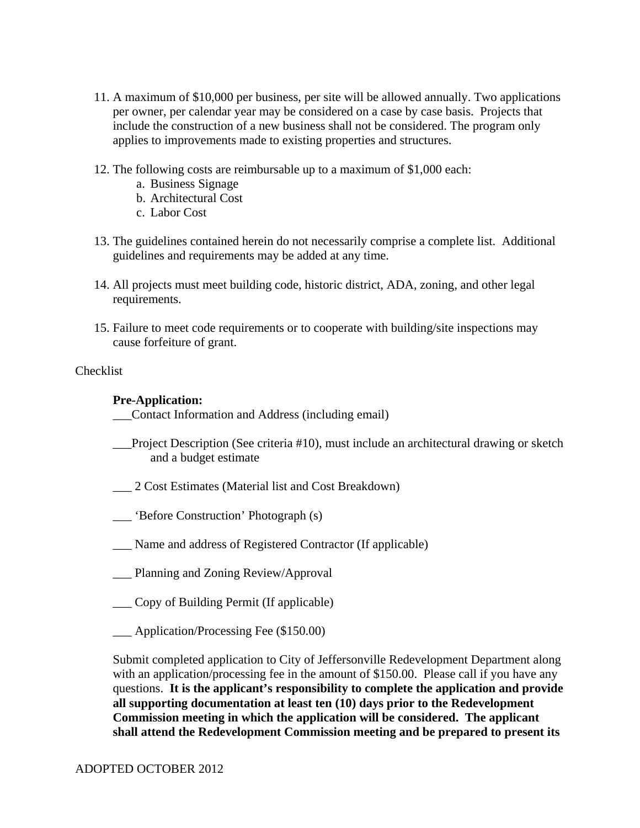- 11. A maximum of \$10,000 per business, per site will be allowed annually. Two applications per owner, per calendar year may be considered on a case by case basis. Projects that include the construction of a new business shall not be considered. The program only applies to improvements made to existing properties and structures.
- 12. The following costs are reimbursable up to a maximum of \$1,000 each:
	- a. Business Signage
	- b. Architectural Cost
	- c. Labor Cost
- 13. The guidelines contained herein do not necessarily comprise a complete list. Additional guidelines and requirements may be added at any time.
- 14. All projects must meet building code, historic district, ADA, zoning, and other legal requirements.
- 15. Failure to meet code requirements or to cooperate with building/site inspections may cause forfeiture of grant.

## Checklist

## **Pre-Application:**

\_\_\_Contact Information and Address (including email)

- \_\_\_Project Description (See criteria #10), must include an architectural drawing or sketch and a budget estimate
- \_\_\_ 2 Cost Estimates (Material list and Cost Breakdown)
- \_\_\_ 'Before Construction' Photograph (s)
- \_\_\_ Name and address of Registered Contractor (If applicable)
- \_\_\_ Planning and Zoning Review/Approval
- \_\_\_ Copy of Building Permit (If applicable)
- \_\_\_ Application/Processing Fee (\$150.00)

Submit completed application to City of Jeffersonville Redevelopment Department along with an application/processing fee in the amount of \$150.00. Please call if you have any questions. **It is the applicant's responsibility to complete the application and provide all supporting documentation at least ten (10) days prior to the Redevelopment Commission meeting in which the application will be considered. The applicant shall attend the Redevelopment Commission meeting and be prepared to present its**